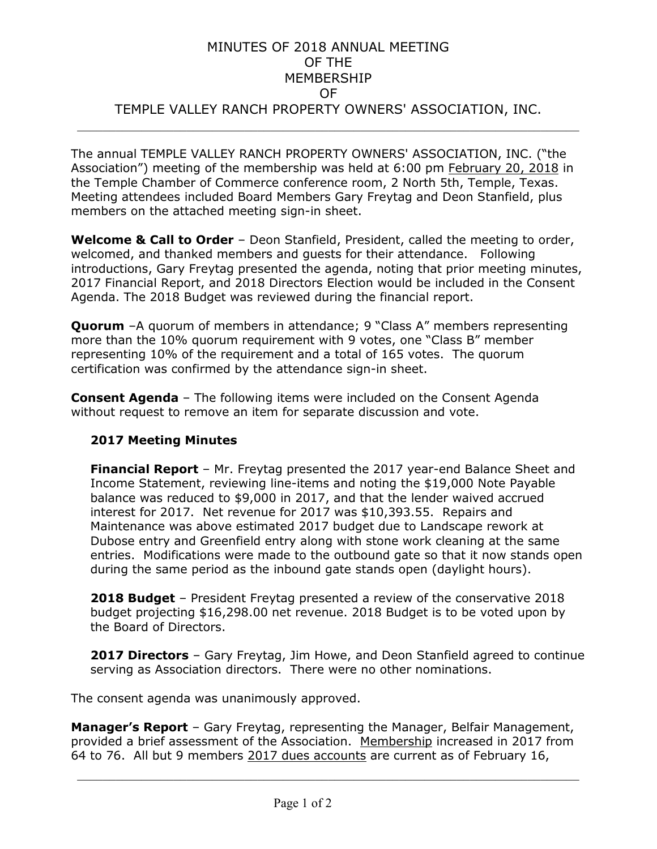### MINUTES OF 2018 ANNUAL MEETING OF THE MEMBERSHIP OF TEMPLE VALLEY RANCH PROPERTY OWNERS' ASSOCIATION, INC.  $\mathcal{L}_{\mathcal{L}}$  , and the set of the set of the set of the set of the set of the set of the set of the set of the set of the set of the set of the set of the set of the set of the set of the set of the set of the set of th

The annual TEMPLE VALLEY RANCH PROPERTY OWNERS' ASSOCIATION, INC. ("the Association") meeting of the membership was held at 6:00 pm February 20, 2018 in the Temple Chamber of Commerce conference room, 2 North 5th, Temple, Texas. Meeting attendees included Board Members Gary Freytag and Deon Stanfield, plus members on the attached meeting sign-in sheet.

**Welcome & Call to Order** – Deon Stanfield, President, called the meeting to order, welcomed, and thanked members and guests for their attendance. Following introductions, Gary Freytag presented the agenda, noting that prior meeting minutes, 2017 Financial Report, and 2018 Directors Election would be included in the Consent Agenda. The 2018 Budget was reviewed during the financial report.

**Ouorum** –A quorum of members in attendance; 9 "Class A" members representing more than the 10% quorum requirement with 9 votes, one "Class B" member representing 10% of the requirement and a total of 165 votes. The quorum certification was confirmed by the attendance sign-in sheet.

**Consent Agenda** – The following items were included on the Consent Agenda without request to remove an item for separate discussion and vote.

#### **2017 Meeting Minutes**

**Financial Report** – Mr. Freytag presented the 2017 year-end Balance Sheet and Income Statement, reviewing line-items and noting the \$19,000 Note Payable balance was reduced to \$9,000 in 2017, and that the lender waived accrued interest for 2017. Net revenue for 2017 was \$10,393.55. Repairs and Maintenance was above estimated 2017 budget due to Landscape rework at Dubose entry and Greenfield entry along with stone work cleaning at the same entries. Modifications were made to the outbound gate so that it now stands open during the same period as the inbound gate stands open (daylight hours).

**2018 Budget** – President Freytag presented a review of the conservative 2018 budget projecting \$16,298.00 net revenue. 2018 Budget is to be voted upon by the Board of Directors.

**2017 Directors** – Gary Freytag, Jim Howe, and Deon Stanfield agreed to continue serving as Association directors. There were no other nominations.

The consent agenda was unanimously approved.

**Manager's Report** – Gary Freytag, representing the Manager, Belfair Management, provided a brief assessment of the Association. Membership increased in 2017 from 64 to 76. All but 9 members 2017 dues accounts are current as of February 16,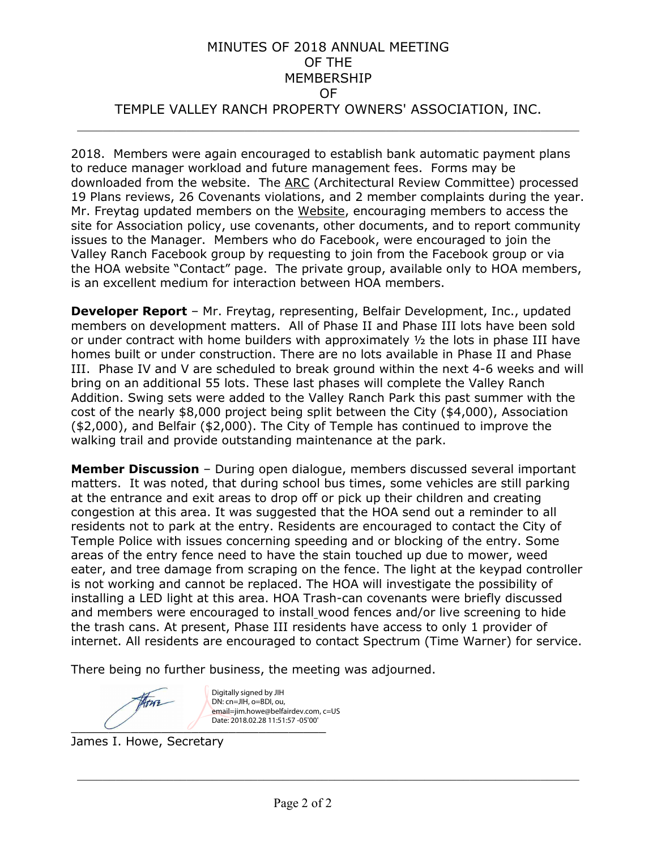### MINUTES OF 2018 ANNUAL MEETING OF THE MEMBERSHIP OF TEMPLE VALLEY RANCH PROPERTY OWNERS' ASSOCIATION, INC.  $\mathcal{L}_{\mathcal{L}}$  , and the set of the set of the set of the set of the set of the set of the set of the set of the set of the set of the set of the set of the set of the set of the set of the set of the set of the set of th

2018. Members were again encouraged to establish bank automatic payment plans to reduce manager workload and future management fees. Forms may be downloaded from the website. The ARC (Architectural Review Committee) processed 19 Plans reviews, 26 Covenants violations, and 2 member complaints during the year. Mr. Freytag updated members on the Website, encouraging members to access the site for Association policy, use covenants, other documents, and to report community issues to the Manager. Members who do Facebook, were encouraged to join the Valley Ranch Facebook group by requesting to join from the Facebook group or via the HOA website "Contact" page. The private group, available only to HOA members, is an excellent medium for interaction between HOA members.

**Developer Report** – Mr. Freytag, representing, Belfair Development, Inc., updated members on development matters. All of Phase II and Phase III lots have been sold or under contract with home builders with approximately  $\frac{1}{2}$  the lots in phase III have homes built or under construction. There are no lots available in Phase II and Phase III. Phase IV and V are scheduled to break ground within the next 4-6 weeks and will bring on an additional 55 lots. These last phases will complete the Valley Ranch Addition. Swing sets were added to the Valley Ranch Park this past summer with the cost of the nearly \$8,000 project being split between the City (\$4,000), Association (\$2,000), and Belfair (\$2,000). The City of Temple has continued to improve the walking trail and provide outstanding maintenance at the park.

**Member Discussion** – During open dialogue, members discussed several important matters. It was noted, that during school bus times, some vehicles are still parking at the entrance and exit areas to drop off or pick up their children and creating congestion at this area. It was suggested that the HOA send out a reminder to all residents not to park at the entry. Residents are encouraged to contact the City of Temple Police with issues concerning speeding and or blocking of the entry. Some areas of the entry fence need to have the stain touched up due to mower, weed eater, and tree damage from scraping on the fence. The light at the keypad controller is not working and cannot be replaced. The HOA will investigate the possibility of installing a LED light at this area. HOA Trash-can covenants were briefly discussed and members were encouraged to install wood fences and/or live screening to hide the trash cans. At present, Phase III residents have access to only 1 provider of internet. All residents are encouraged to contact Spectrum (Time Warner) for service.

There being no further business, the meeting was adjourned.

Digitally signed by JIH Hore DN: cn=JIH, o=BDI, ou, email=jim.howe@belfairdev.com, c=US Date: 2018.02.28 11:51:57 -05'00'

James I. Howe, Secretary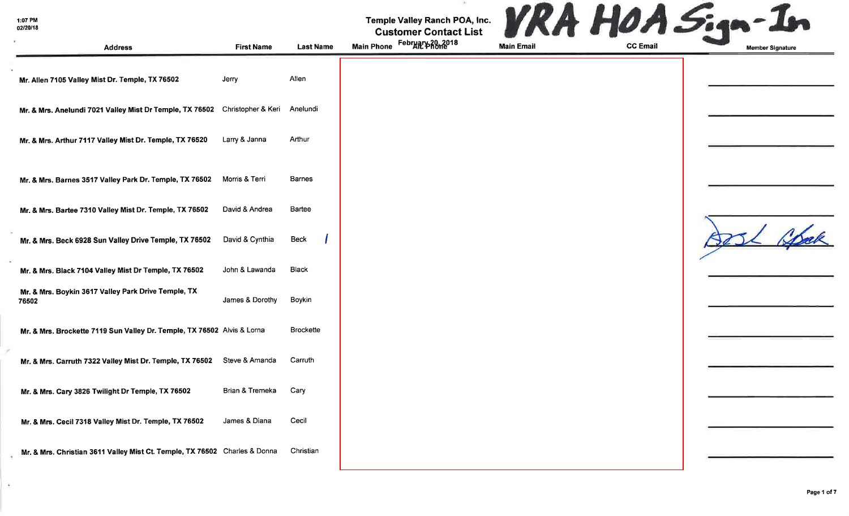$\lambda$ 

| Temple Valley Ranch POA, Inc.<br><b>Customer Contact List</b> |      |     |  |
|---------------------------------------------------------------|------|-----|--|
| February 20, 2018                                             | -- - | --- |  |

| <b>Address</b>                                                              | <b>First Name</b> | <b>Last Name</b> | February 20, 2018<br><b>Main Phone</b> | <b>Main Email</b> | <b>CC Email</b> | <b>Member Signature</b> |
|-----------------------------------------------------------------------------|-------------------|------------------|----------------------------------------|-------------------|-----------------|-------------------------|
| Mr. Allen 7105 Valley Mist Dr. Temple, TX 76502                             | Jerry             | Allen            |                                        |                   |                 |                         |
| Mr. & Mrs. Anelundi 7021 Valley Mist Dr Temple, TX 76502 Christopher & Keri |                   | Anelundi         |                                        |                   |                 |                         |
| Mr. & Mrs. Arthur 7117 Valley Mist Dr. Temple, TX 76520                     | Larry & Janna     | Arthur           |                                        |                   |                 |                         |
| Mr. & Mrs. Barnes 3517 Valley Park Dr. Temple, TX 76502                     | Morris & Terri    | <b>Barnes</b>    |                                        |                   |                 |                         |
| Mr. & Mrs. Bartee 7310 Valley Mist Dr. Temple, TX 76502                     | David & Andrea    | Bartee           |                                        |                   |                 |                         |
| Mr. & Mrs. Beck 6928 Sun Valley Drive Temple, TX 76502                      | David & Cynthia   | Beck             |                                        |                   |                 | 1 Spok                  |
| Mr. & Mrs. Black 7104 Valley Mist Dr Temple, TX 76502                       | John & Lawanda    | <b>Black</b>     |                                        |                   |                 |                         |
| Mr. & Mrs. Boykin 3617 Valley Park Drive Temple, TX<br>76502                | James & Dorothy   | Boykin           |                                        |                   |                 |                         |
| Mr. & Mrs. Brockette 7119 Sun Valley Dr. Temple, TX 76502 Alvis & Lorna     |                   | <b>Brockette</b> |                                        |                   |                 |                         |
| Mr. & Mrs. Carruth 7322 Valley Mist Dr. Temple, TX 76502                    | Steve & Amanda    | Carruth          |                                        |                   |                 |                         |
| Mr. & Mrs. Cary 3826 Twilight Dr Temple, TX 76502                           | Brian & Tremeka   | Cary             |                                        |                   |                 |                         |
| Mr. & Mrs. Cecil 7318 Valley Mist Dr. Temple, TX 76502                      | James & Diana     | Cecil            |                                        |                   |                 |                         |
| Mr. & Mrs. Christian 3611 Valley Mist Ct. Temple, TX 76502 Charles & Donna  |                   | Christian        |                                        |                   |                 |                         |

 $\sim 10$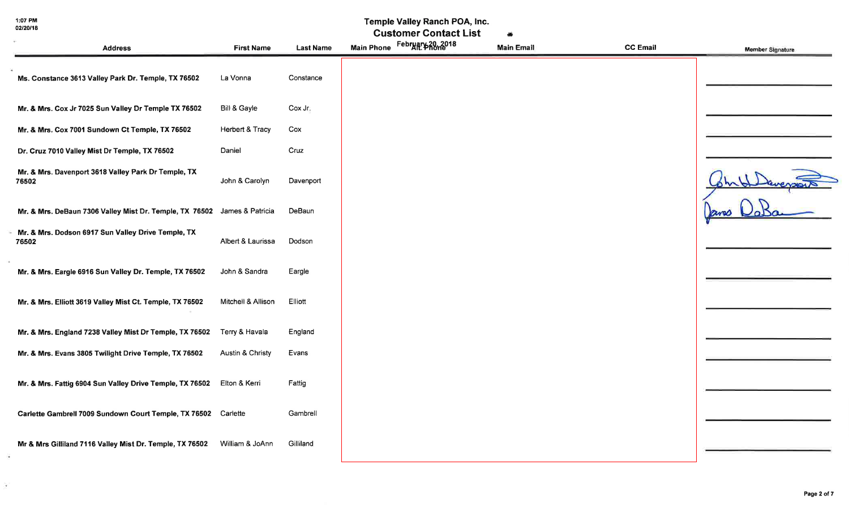ò.

#### Temple Valley Ranch POA, Inc.

|                                                                          |                    |                  | <b>Customer Contact List</b> | äŃ                |                 |                         |
|--------------------------------------------------------------------------|--------------------|------------------|------------------------------|-------------------|-----------------|-------------------------|
| <b>Address</b>                                                           | <b>First Name</b>  | <b>Last Name</b> | Main Phone February 20, 2018 | <b>Main Email</b> | <b>CC Email</b> | <b>Member Signature</b> |
| Ms. Constance 3613 Valley Park Dr. Temple, TX 76502                      | La Vonna           | Constance        |                              |                   |                 |                         |
| Mr. & Mrs. Cox Jr 7025 Sun Valley Dr Temple TX 76502                     | Bill & Gayle       | Cox Jr.          |                              |                   |                 |                         |
| Mr. & Mrs. Cox 7001 Sundown Ct Temple, TX 76502                          | Herbert & Tracy    | Cox              |                              |                   |                 |                         |
| Dr. Cruz 7010 Valley Mist Dr Temple, TX 76502                            | Daniel             | Cruz             |                              |                   |                 |                         |
| Mr. & Mrs. Davenport 3618 Valley Park Dr Temple, TX<br>76502             | John & Carolyn     | Davenport        |                              |                   |                 |                         |
| Mr. & Mrs. DeBaun 7306 Valley Mist Dr. Temple, TX 76502 James & Patricia |                    | DeBaun           |                              |                   |                 |                         |
| Mr. & Mrs. Dodson 6917 Sun Valley Drive Temple, TX<br>76502              | Albert & Laurissa  | Dodson           |                              |                   |                 |                         |
| Mr. & Mrs. Eargle 6916 Sun Valley Dr. Temple, TX 76502                   | John & Sandra      | Eargle           |                              |                   |                 |                         |
| Mr. & Mrs. Elliott 3619 Valley Mist Ct. Temple, TX 76502                 | Mitchell & Allison | Elliott          |                              |                   |                 |                         |
| Mr. & Mrs. England 7238 Valley Mist Dr Temple, TX 76502                  | Terry & Havala     | England          |                              |                   |                 |                         |
| Mr. & Mrs. Evans 3805 Twilight Drive Temple, TX 76502                    | Austin & Christy   | Evans            |                              |                   |                 |                         |
| Mr. & Mrs. Fattig 6904 Sun Valley Drive Temple, TX 76502 Elton & Kerri   |                    | Fattig           |                              |                   |                 |                         |
| Carlette Gambrell 7009 Sundown Court Temple, TX 76502 Carlette           |                    | Gambrell         |                              |                   |                 |                         |
| Mr & Mrs Gilliland 7116 Valley Mist Dr. Temple, TX 76502                 | William & JoAnn    | Gilliland        |                              |                   |                 |                         |
|                                                                          |                    |                  |                              |                   |                 |                         |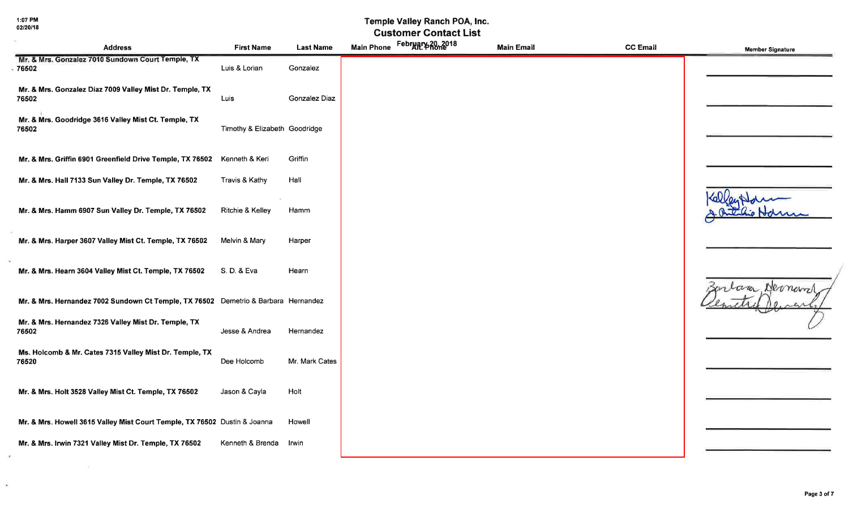$\sim$  100  $\mu$ 

 $\overline{\mathcal{L}}$ 

### Temple Valley Ranch POA, Inc.

| <b>Address</b>                                                                     | <b>First Name</b>             | <b>Last Name</b>     | Main Phone February 20, 2018 | <b>Main Email</b> | <b>CC Email</b> | <b>Member Signature</b> |
|------------------------------------------------------------------------------------|-------------------------------|----------------------|------------------------------|-------------------|-----------------|-------------------------|
| Mr. & Mrs. Gonzalez 7010 Sundown Court Temple, TX<br>$-76502$                      | Luis & Lorian                 | Gonzalez             |                              |                   |                 |                         |
| Mr. & Mrs. Gonzalez Diaz 7009 Valley Mist Dr. Temple, TX<br>76502                  | Luis                          | <b>Gonzalez Diaz</b> |                              |                   |                 |                         |
| Mr. & Mrs. Goodridge 3616 Valley Mist Ct. Temple, TX<br>76502                      | Timothy & Elizabeth Goodridge |                      |                              |                   |                 |                         |
| Mr. & Mrs. Griffin 6901 Greenfield Drive Temple, TX 76502                          | Kenneth & Keri                | Griffin              |                              |                   |                 |                         |
| Mr. & Mrs. Hall 7133 Sun Valley Dr. Temple, TX 76502                               | Travis & Kathy                | Hall                 |                              |                   |                 |                         |
| Mr. & Mrs. Hamm 6907 Sun Valley Dr. Temple, TX 76502                               | Ritchie & Kelley              | Hamm                 |                              |                   |                 |                         |
| Mr. & Mrs. Harper 3607 Valley Mist Ct. Temple, TX 76502                            | Melvin & Mary                 | Harper               |                              |                   |                 |                         |
| Mr. & Mrs. Hearn 3604 Valley Mist Ct. Temple, TX 76502                             | S. D. & Eva                   | Hearn                |                              |                   |                 | Dermerry<br>cara.       |
| Mr. & Mrs. Hernandez 7002 Sundown Ct Temple, TX 76502 Demetrio & Barbara Hernandez |                               |                      |                              |                   |                 |                         |
| Mr. & Mrs. Hernandez 7326 Valley Mist Dr. Temple, TX<br>76502                      | Jesse & Andrea                | Hernandez            |                              |                   |                 |                         |
| Ms. Holcomb & Mr. Cates 7315 Valley Mist Dr. Temple, TX<br>76520                   | Dee Holcomb                   | Mr. Mark Cates       |                              |                   |                 |                         |
| Mr. & Mrs. Holt 3528 Valley Mist Ct. Temple, TX 76502                              | Jason & Cayla                 | Holt                 |                              |                   |                 |                         |
| Mr. & Mrs. Howell 3615 Valley Mist Court Temple, TX 76502 Dustin & Joanna          |                               | Howell               |                              |                   |                 |                         |
| Mr. & Mrs. Irwin 7321 Valley Mist Dr. Temple, TX 76502                             | Kenneth & Brenda              | Irwin                |                              |                   |                 |                         |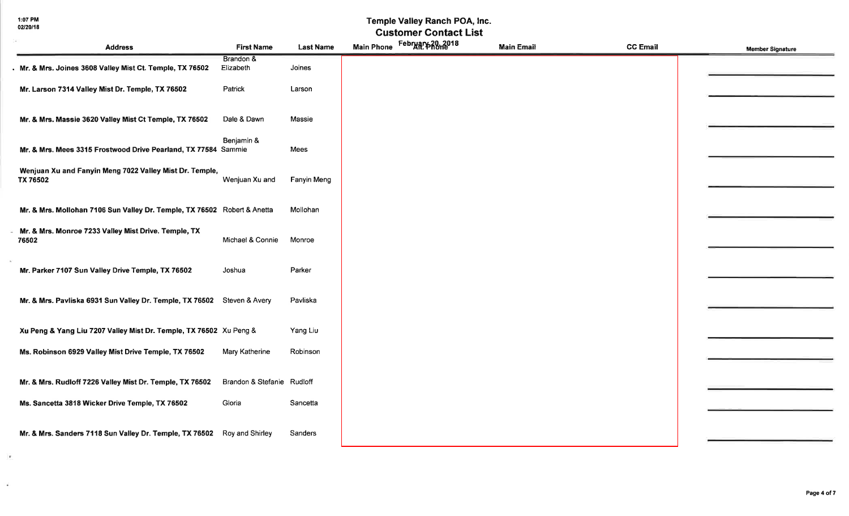$\langle \bullet \rangle$ 

 $\mathcal{L}_{\mathcal{C}}$ 

# Temple Valley Ranch POA, Inc.<br>Customer Contact List

| <b>Address</b>                                                           | <b>First Name</b>          | <b>Last Name</b> | Main Phone February 20, 2018 | <b>Main Email</b> | <b>CC Email</b> | <b>Member Signature</b> |
|--------------------------------------------------------------------------|----------------------------|------------------|------------------------------|-------------------|-----------------|-------------------------|
| . Mr. & Mrs. Joines 3608 Valley Mist Ct. Temple, TX 76502                | Brandon &<br>Elizabeth     | Joines           |                              |                   |                 |                         |
| Mr. Larson 7314 Valley Mist Dr. Temple, TX 76502                         | Patrick                    | Larson           |                              |                   |                 |                         |
| Mr. & Mrs. Massie 3620 Valley Mist Ct Temple, TX 76502                   | Dale & Dawn                | Massie           |                              |                   |                 |                         |
| Mr. & Mrs. Mees 3315 Frostwood Drive Pearland, TX 77584 Sammie           | Benjamin &                 | Mees             |                              |                   |                 |                         |
| Wenjuan Xu and Fanyin Meng 7022 Valley Mist Dr. Temple,<br>TX 76502      | Wenjuan Xu and             | Fanyin Meng      |                              |                   |                 |                         |
| Mr. & Mrs. Mollohan 7106 Sun Valley Dr. Temple, TX 76502 Robert & Anetta |                            | Mollohan         |                              |                   |                 |                         |
| Mr. & Mrs. Monroe 7233 Valley Mist Drive. Temple, TX<br>76502            | Michael & Connie           | Monroe           |                              |                   |                 |                         |
| Mr. Parker 7107 Sun Valley Drive Temple, TX 76502                        | Joshua                     | Parker           |                              |                   |                 |                         |
| Mr. & Mrs. Pavliska 6931 Sun Valley Dr. Temple, TX 76502 Steven & Avery  |                            | Pavliska         |                              |                   |                 |                         |
| Xu Peng & Yang Liu 7207 Valley Mist Dr. Temple, TX 76502 Xu Peng &       |                            | Yang Liu         |                              |                   |                 |                         |
| Ms. Robinson 6929 Valley Mist Drive Temple, TX 76502                     | Mary Katherine             | Robinson         |                              |                   |                 |                         |
| Mr. & Mrs. Rudloff 7226 Valley Mist Dr. Temple, TX 76502                 | Brandon & Stefanie Rudloff |                  |                              |                   |                 |                         |
| Ms. Sancetta 3818 Wicker Drive Temple, TX 76502                          | Gloria                     | Sancetta         |                              |                   |                 |                         |
| Mr. & Mrs. Sanders 7118 Sun Valley Dr. Temple, TX 76502 Roy and Shirley  |                            | Sanders          |                              |                   |                 |                         |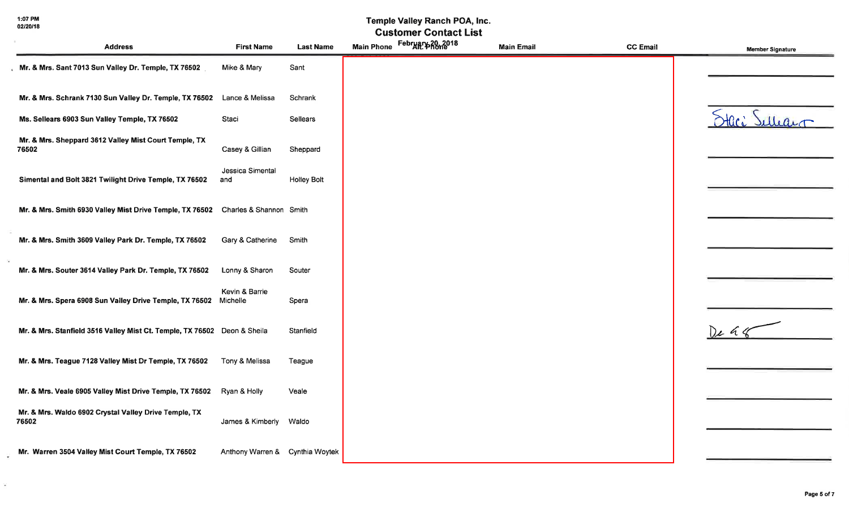1:07 PM<br>02/20/18

 $\mathcal{L}_{\mathcal{C}}$ 

### Temple Valley Ranch POA, Inc.

| <b>Address</b>                                                                   | <b>First Name</b>               | <b>Last Name</b>   | Main Phone February 20, 2018 | <b>Main Email</b> | <b>CC Email</b> | <b>Member Signature</b> |
|----------------------------------------------------------------------------------|---------------------------------|--------------------|------------------------------|-------------------|-----------------|-------------------------|
| Mr. & Mrs. Sant 7013 Sun Valley Dr. Temple, TX 76502                             | Mike & Mary                     | Sant               |                              |                   |                 |                         |
| Mr. & Mrs. Schrank 7130 Sun Valley Dr. Temple, TX 76502                          | Lance & Melissa                 | Schrank            |                              |                   |                 |                         |
| Ms. Sellears 6903 Sun Valley Temple, TX 76502                                    | Staci                           | Sellears           |                              |                   |                 | Staci Sulleau           |
| Mr. & Mrs. Sheppard 3612 Valley Mist Court Temple, TX<br>76502                   | Casey & Gillian                 | Sheppard           |                              |                   |                 |                         |
| Simental and Bolt 3821 Twilight Drive Temple, TX 76502                           | Jessica Simental<br>and         | <b>Holley Bolt</b> |                              |                   |                 |                         |
| Mr. & Mrs. Smith 6930 Valley Mist Drive Temple, TX 76502 Charles & Shannon Smith |                                 |                    |                              |                   |                 |                         |
| Mr. & Mrs. Smith 3609 Valley Park Dr. Temple, TX 76502                           | Gary & Catherine                | Smith              |                              |                   |                 |                         |
| Mr. & Mrs. Souter 3614 Valley Park Dr. Temple, TX 76502                          | Lonny & Sharon                  | Souter             |                              |                   |                 |                         |
| Mr. & Mrs. Spera 6908 Sun Valley Drive Temple, TX 76502                          | Kevin & Barrie<br>Michelle      | Spera              |                              |                   |                 |                         |
| Mr. & Mrs. Stanfield 3516 Valley Mist Ct. Temple, TX 76502 Deon & Sheila         |                                 | Stanfield          |                              |                   |                 | $D_{\ell}$ a $4$        |
| Mr. & Mrs. Teague 7128 Valley Mist Dr Temple, TX 76502                           | Tony & Melissa                  | Teague             |                              |                   |                 |                         |
| Mr. & Mrs. Veale 6905 Valley Mist Drive Temple, TX 76502                         | Ryan & Holly                    | Veale              |                              |                   |                 |                         |
| Mr. & Mrs. Waldo 6902 Crystal Valley Drive Temple, TX<br>76502                   | James & Kimberly                | Waldo              |                              |                   |                 |                         |
| Mr. Warren 3504 Valley Mist Court Temple, TX 76502                               | Anthony Warren & Cynthia Woytek |                    |                              |                   |                 |                         |